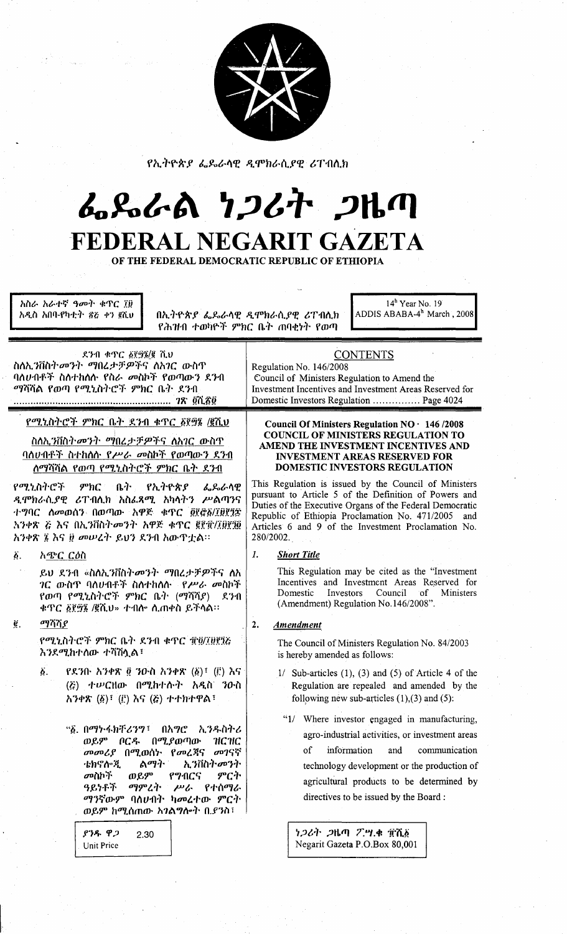

የኢትዮጵያ ፌዴራላዊ ዲሞክራሲያዊ ሪፐብሲክ

## んぺんの りつびれ つりの FEDERAL NEGARIT GAZETA

OF THE FEDERAL DEMOCRATIC REPUBLIC OF ETHIOPIA

አስራ አራተኛ ዓመት ቁጥር ፲፱ አዲስ አበባ-የካቲት ፳፩ ቀን ፪ሺህ

በኢትዮጵያ ፌዴራሳዊ ዲሞክራሲያዊ ሪፐብሲክ የሕዝብ ተወካዮች ምክር ቤት ጠባቂነት የወጣ

 $14^{\rm h}$  Year No. 19 ADDIS ABABA-4<sup>h</sup> March, 2008

| ደንብ ቁጥር ፩፻፵፮/፪ ሺህ<br>ስስኢንቨስትመንት ማበረታቻዎችና ስአገር ውስጥ<br>ባለሀብቶች ስለተከለሉ የስራ መስኮች የወጣውን ደንብ<br>ማሻሻል የወጣ የሚኒስትሮች ምክር ቤት ደንብ                                                                                                                                 | <b>CONTENTS</b><br>Regulation No. 146/2008<br>Council of Ministers Regulation to Amend the<br>Investment Incentives and Investment Areas Reserved for<br>Domestic Investors Regulation  Page 4024                                                                                                                             |
|------------------------------------------------------------------------------------------------------------------------------------------------------------------------------------------------------------------------------------------------------|-------------------------------------------------------------------------------------------------------------------------------------------------------------------------------------------------------------------------------------------------------------------------------------------------------------------------------|
| <u>የሚኒስትሮች ምክር ቤት ደንብ ቁጥር ፩፻፵፮ /፪ሺህ</u><br>ስስኢንቨስትመንት ማበረታቻዎችና ስአገር ውስጥ<br>ባስሀብቶች ስተከሰሱ የሥራ መስኮች የወጣውን ደንብ<br>ለማሻሻል የወጣ የሚኒስትሮች ምክር ቤት ደንብ<br><i>ምክ</i> ር ቤት የኢትዮጵ <i>ያ ፌ</i> ራራሳዊ<br>የሚኒስትሮች                                                        | Council Of Ministers Regulation NO - 146 /2008<br><b>COUNCIL OF MINISTERS REGULATION TO</b><br>AMEND THE INVESTMENT INCENTIVES AND<br><b>INVESTMENT AREAS RESERVED FOR</b><br>DOMESTIC INVESTORS REGULATION<br>This Regulation is issued by the Council of Ministers<br>pursuant to Article 5 of the Definition of Powers and |
| ዲሞክራሲያዊ ሪፐብሲክ አስፌጻሚ አካሳትን ሥልጣንና<br>ተግባር ስመወሰን በወጣው አዋጅ ቁጥር ፬፻፸፩/፲፱፻፺፰<br>አንቀጽ ሯ እና በኢንቨስትመንት አዋጅ ቁጥር ፪፻፹/፲፱፻፺፬<br>አንቀጽ ፮ እና ፱ መሠረት ይህን ደንብ አውዋቷል።                                                                                                    | Duties of the Executive Organs of the Federal Democratic<br>Republic of Ethiopia Proclamation No. 471/2005<br>and<br>Articles 6 and 9 of the Investment Proclamation No.<br>280/2002.                                                                                                                                         |
| Ä.<br><u>አጭር ርዕስ</u>                                                                                                                                                                                                                                 | 1.<br><b>Short Title</b>                                                                                                                                                                                                                                                                                                      |
| ይህ ደንብ «ስለኢንቨስት <i>መን</i> ት ማበረታቻዎችና ለአ<br><i>ገ</i> ር ውስጥ ባለሆብቶች ስለተከለሉ <i>የሥራ መ</i> ስኮች<br>የወጣ የሚኒስትሮች ምክር ቤት (ማሻሻያ) ደንብ<br>ቁጥር ፩፻፵፮ /፪ሺህ» ተብሎ ሲጠቀስ ይችላል።                                                                                           | This Regulation may be cited as the "Investment"<br>Incentives and Investment Areas Reserved for<br>Investors<br>Council of<br>Ministers<br>Domestic<br>(Amendment) Regulation No.146/2008".                                                                                                                                  |
| ማሻሻያ<br>ġ.                                                                                                                                                                                                                                           | 2.<br><b>Amendment</b>                                                                                                                                                                                                                                                                                                        |
| የሚኒስትሮች ምክር ቤት ደንብ ቀጥር ፹፬/፲፱፻፺ፘ<br><i>እንደሚከተለ</i> ው ተሻሽሏል፣                                                                                                                                                                                           | The Council of Ministers Regulation No. 84/2003<br>is hereby amended as follows:                                                                                                                                                                                                                                              |
| Ö.<br>$\mathcal{R}30\cdot\lambda'$ ቀጽ ፬ ንዑስ አንቀጽ (፩)፣ (፫) እና<br>(ξ) ተሥርዘው በሚከተሱት አዲስ ንዑስ<br>አንቀጽ $(\underline{\delta})$ ፣ $(\underline{\tilde{r}})$ እና $(\underline{\tilde{\epsilon}})$ ተተክተዋል፣                                                      | $1/$ Sub-articles (1), (3) and (5) of Article 4 of the<br>Regulation are repealed and amended by the<br>following new sub-articles $(1)$ , $(3)$ and $(5)$ :                                                                                                                                                                  |
| "፩. በማ≻ፋክቸሪንግ፣<br>በአማሮ<br>ኢንዱስትሪ<br>ወይም<br>በሚያወጣው<br><b>HCHC</b><br>ቦርዱ<br>መመሪያ በሚወሰት የመረጃና<br>መገናኛ<br>ኢንቨስትመንት<br>ልማት<br>ቴክኖሎጂ<br>መስኮች<br>ወይም<br>ምርት<br>የግብርና<br>ማምረት<br>ዓይነቶች<br>የተሰማራ<br>$\mu$<br>ማንኛውም ባለሀብት ካመረተው ምርት<br>ወይም ከሚሰጠው አንልግሎት ቢያንስ፣ | "1/ Where investor engaged in manufacturing,<br>agro-industrial activities, or investment areas<br>information<br>of<br>and<br>communication<br>technology development or the production of<br>agricultural products to be determined by<br>directives to be issued by the Board:                                             |
| ያንዱ ዋጋ<br>2.30<br>Unit Price                                                                                                                                                                                                                         | ነጋሪት ጋዜጣ ፖ.ሣ.ቁ ፹ሺ፩<br>Negarit Gazeta P.O.Box 80,001                                                                                                                                                                                                                                                                           |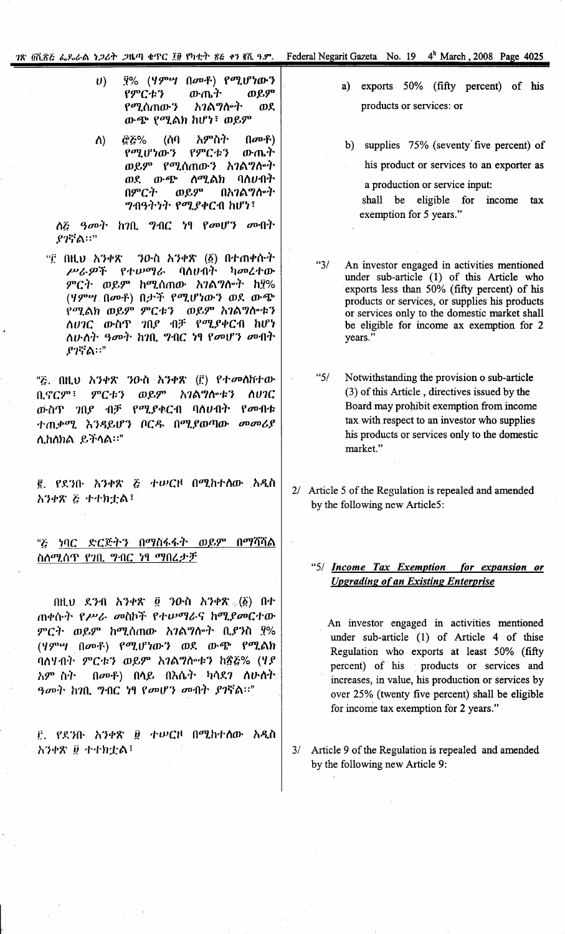*'1'1\*Qi'i.?)~ *t..~lrt\ ~;Jt+* ;JtLllJ *<l:rrc Iii* rl1-1:+ *lie* 4'') In. *'}.r.* Federal Ne arit Gazeta No. 19 4h March, 2008 Pa e 4025

- $\begin{vmatrix}1 & \frac{1}{2} & \frac{1}{2} & \frac{1}{2} & \frac{1}{2} & \frac{1}{2} & \frac{1}{2} & \frac{1}{2} & \frac{1}{2} & \frac{1}{2} & \frac{1}{2} & \frac{1}{2} & \frac{1}{2} & \frac{1}{2} & \frac{1}{2} & \frac{1}{2} & \frac{1}{2} & \frac{1}{2} & \frac{1}{2} & \frac{1}{2} & \frac{1}{2} & \frac{1}{2} & \frac{1}{2} & \frac{1}{2} & \frac{1}{2} & \frac{1}{2} & \frac{1}{2} & \frac{1$  $9%$  (ሃምሣ በመቶ) የሚሆነውን riJDC1:1 *lD-lTbT mf,iJD* rO'J.OmlD-1 *h1A"?fr-T m.f.* ውጭ የሚልክ ከሆነ<sup>፣</sup> ወይም
- *1\) ፸*ሯ% (ሰባ አምስት በ*መ*ቶ) የሚሆነውን የምርቱን ው**ጤ**ት *mf,iJD* rO'J.OmlD-1 *h1A<1fr-T ወ*ደ ውጭ ሰሚልክ ባለሀብት<br>በምርት ወይም በአገልግሎት *በምርት ወይም በአገልግ*ሎት *"?11~T"T rO'J.f.,.C11* hlf., ':

*I\li ~ooT* h1fi. *"?11C* ." roolf1 *001170*  $\rho\gamma\vec{q}$ ል።"

*"E* mlu *h1.,.1\* 1~ft *h1.,.1\* (~) Oi'm",o-T . *የተሠማራ* ባለሀብት *ካመ*ረተው *iJDCT mf,iJD hO'J.omlD- h1A"?fr-T h:l%* (ሃ*ምሣ* በመቶ) በታች የሚሆነውን ወደ ው*ጭ* የሚልክ ወይም ምርቱን ወይም *አገ*ልግሎቱን *ስሀገር ውስ*ዋ *ገ*በ*ያ* ብቻ የሚያቀርብ ከሆነ *1\lJ-I\T ~ooT* h1fi. *"?11C*." roolf1 ooflT *f17fA::"*

*"li.* mtu *h1.,.1\* 10-ft *h1.,.1\ (E)* ri'ool\hi'lD $f\in C$ ም፣ ምርቱን ወይም አ*ገ*ልግሎቱን ስሀገር ውስጥ *ገበያ ብቻ የሚያቀርብ ባለሀብት የመብቱ i'm.4'O'J. h1~f,lf1 nc~ OO'J.fmtTJlD- ooootf*  $\Lambda$ hስክል ይችላል።"

~. r .f.1r1- *h* 1.,.1\ *li* i'lPCtI *OO'J.hi'l\m-* . *hJtft h'}.,.1\ li* i'i'h:tA-:

*"ୟ ነ*ባር ድር<u>ጅትን በማስፋፋት ወይም በማሻሻል</u> *ftl\O'J.01'* r1fi. *"?11C* ." *OTJOl;r:r*

OILU .f.1f1 *h* 1.,.1\ Q 1~ft *h* 1"'1\", (~) Oi' ጠቀሱት *የሥራ መ*ስከች የተሥማራና ከሚያመርተው *iJDC:" mf,iJD hO'J.omlD- t\1A"?fr-T* fi.f1ft *:l%* ( *'IiJDUf*,0007-) <sup>r</sup> O'J.lf., *m-'} m.f. m.* "t" rO'J.Ah *ClI\'11')' iJDC1:1 mf,iJD* h1A"?fr-1:1 *h?!li% ('If ኒ*ነም ስት ፣ በመቶ) በሳይ በእሴት ካሳደን ሰሁሰት *~oo,).* h1fi. "?flC ." roolf'} oofl:'~ *f17fA::"*

*E. የደን*ቡ *አንቀጽ ፱ ተሠርዞ በሚከተለው አዲ*ስ *t\'}<1>1\*!! *'t..,..h:tA* -:

- products or services: or
- b) supplies 75% (seventy' five percent) of his product or services to an exporter as

a production or service input:

shall be eligible for income tax exemption for 5 years."

- "3/ An investor engaged in activities mentioned under sub-article (1) of this Article who exports less than 50% (fifty percent) of his products or services, or supplies his products or services only to the domestic market shall be eligible for income ax exemption for 2 years.'
- "5/ Notwithstanding the provision 0 sub-article (3) of this Article, directives issued by the Board may prohibit exemption from income tax with respect to an investor who supplies his products or services only to the domestic market."
- 2/ Article 5 of the Regulation is repealed and amended by the following new ArticleS:
	- "5/ *Income Tax Exemotion for exoansion or Upgrading of an Existing Enterprise* 
		- An investor engaged in activities mentioned under sub-article (1) of Article 4 of thise Regulation who exports at least 50% (fifty percent) of his products or services and increases, in value, his production or services by over 25% (twenty five percent) shall be eligible for income tax exemption for 2 years."
- 3/ Article 9 of the Regulation is repealed and amended by the following new Article 9: